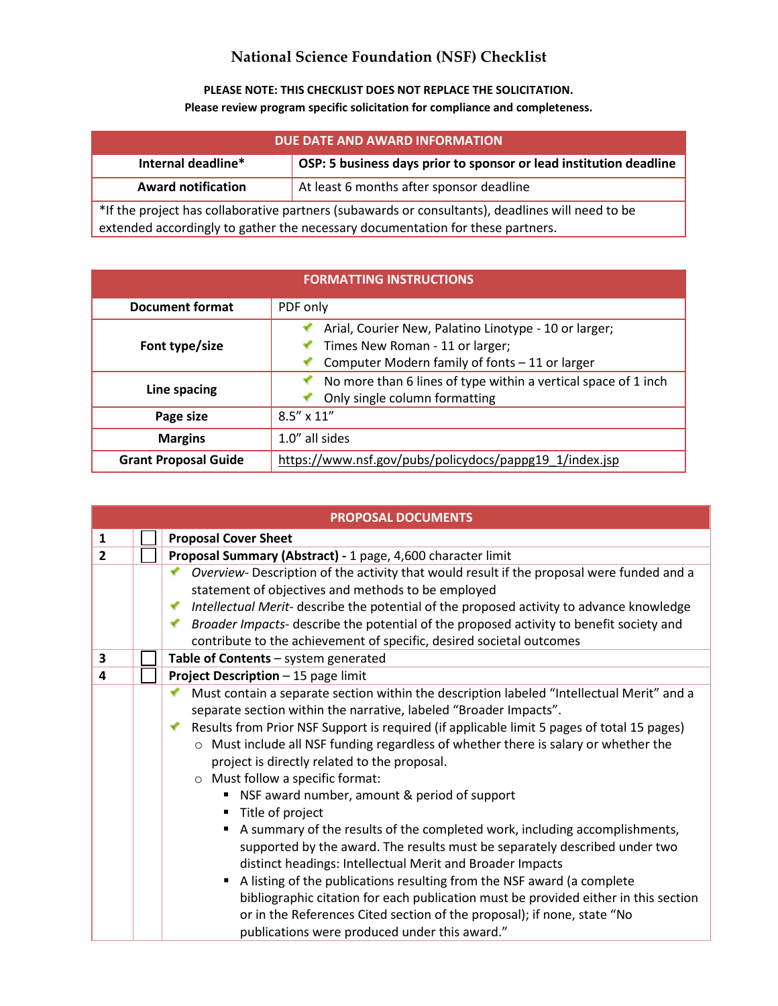## **National Science Foundation (NSF) Checklist**

**PLEASE NOTE: THIS CHECKLIST DOES NOT REPLACE THE SOLICITATION. Please review program specific solicitation for compliance and completeness.** 

| DUE DATE AND AWARD INFORMATION                                                             |                                                                    |  |
|--------------------------------------------------------------------------------------------|--------------------------------------------------------------------|--|
| Internal deadline*                                                                         | OSP: 5 business days prior to sponsor or lead institution deadline |  |
| <b>Award notification</b>                                                                  | At least 6 months after sponsor deadline                           |  |
| the argue that collaborative partners (subayards or consultants) deadlines will need to be |                                                                    |  |

\*If the project has collaborative partners (subawards or consultants), deadlines will need to be extended accordingly to gather the necessary documentation for these partners.

| <b>FORMATTING INSTRUCTIONS</b> |                                                                                                                                            |  |
|--------------------------------|--------------------------------------------------------------------------------------------------------------------------------------------|--|
| Document format                | PDF only                                                                                                                                   |  |
| Font type/size                 | Arial, Courier New, Palatino Linotype - 10 or larger;<br>Times New Roman - 11 or larger;<br>Computer Modern family of fonts - 11 or larger |  |
| Line spacing                   | No more than 6 lines of type within a vertical space of 1 inch<br>Only single column formatting                                            |  |
| Page size                      | $8.5'' \times 11''$                                                                                                                        |  |
| <b>Margins</b>                 | 1.0" all sides                                                                                                                             |  |
| <b>Grant Proposal Guide</b>    | https://www.nsf.gov/pubs/policydocs/pappg19_1/index.jsp                                                                                    |  |

| <b>PROPOSAL DOCUMENTS</b> |                                      |                                                                                                                                                                                                                                                                                           |  |  |
|---------------------------|--------------------------------------|-------------------------------------------------------------------------------------------------------------------------------------------------------------------------------------------------------------------------------------------------------------------------------------------|--|--|
| 1                         |                                      | <b>Proposal Cover Sheet</b>                                                                                                                                                                                                                                                               |  |  |
| 2                         |                                      | Proposal Summary (Abstract) - 1 page, 4,600 character limit                                                                                                                                                                                                                               |  |  |
|                           |                                      | Overview- Description of the activity that would result if the proposal were funded and a<br>✔                                                                                                                                                                                            |  |  |
|                           |                                      | statement of objectives and methods to be employed                                                                                                                                                                                                                                        |  |  |
|                           |                                      | Intellectual Merit- describe the potential of the proposed activity to advance knowledge<br>✔                                                                                                                                                                                             |  |  |
|                           |                                      | Broader Impacts- describe the potential of the proposed activity to benefit society and                                                                                                                                                                                                   |  |  |
|                           |                                      | contribute to the achievement of specific, desired societal outcomes                                                                                                                                                                                                                      |  |  |
| 3                         | Table of Contents - system generated |                                                                                                                                                                                                                                                                                           |  |  |
| 4                         |                                      | Project Description - 15 page limit                                                                                                                                                                                                                                                       |  |  |
|                           |                                      | Must contain a separate section within the description labeled "Intellectual Merit" and a                                                                                                                                                                                                 |  |  |
|                           |                                      | separate section within the narrative, labeled "Broader Impacts".                                                                                                                                                                                                                         |  |  |
|                           |                                      | Results from Prior NSF Support is required (if applicable limit 5 pages of total 15 pages)                                                                                                                                                                                                |  |  |
|                           |                                      | ○ Must include all NSF funding regardless of whether there is salary or whether the                                                                                                                                                                                                       |  |  |
|                           |                                      | project is directly related to the proposal.                                                                                                                                                                                                                                              |  |  |
|                           |                                      | O Must follow a specific format:                                                                                                                                                                                                                                                          |  |  |
|                           |                                      | ■ NSF award number, amount & period of support                                                                                                                                                                                                                                            |  |  |
|                           |                                      | ■ Title of project                                                                                                                                                                                                                                                                        |  |  |
|                           |                                      | A summary of the results of the completed work, including accomplishments,<br>supported by the award. The results must be separately described under two<br>distinct headings: Intellectual Merit and Broader Impacts                                                                     |  |  |
|                           |                                      | A listing of the publications resulting from the NSF award (a complete<br>bibliographic citation for each publication must be provided either in this section<br>or in the References Cited section of the proposal); if none, state "No<br>publications were produced under this award." |  |  |